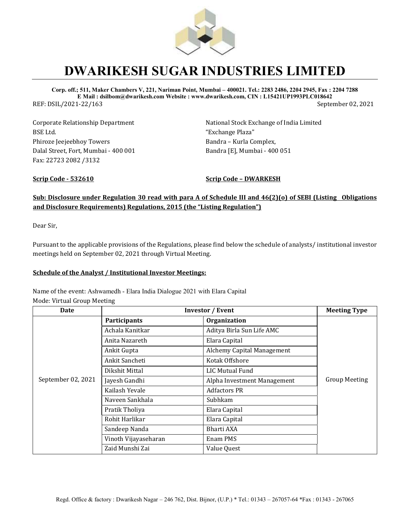

## **DWARIKESH SUGAR INDUSTRIES LIMITED**

**Corp. off.; 511, Maker Chambers V, 221, Nariman Point, Mumbai – 400021. Tel.: 2283 2486, 2204 2945, Fax : 2204 7288 E Mail : dsilbom@dwarikesh.com Website : www.dwarikesh.com, CIN : L15421UP1993PLC018642** REF: DSIL/2021-22/163 September 02, 2021

Corporate Relationship Department BSE Ltd. Phiroze Jeejeebhoy Towers Dalal Street, Fort, Mumbai - 400 001 Fax: 22723 2082 /3132

National Stock Exchange of India Limited "Exchange Plaza" Bandra – Kurla Complex, Bandra [E], Mumbai - 400 051

**Scrip Code - 532610 Scrip Code – DWARKESH**

### **Sub: Disclosure under Regulation 30 read with para A of Schedule III and 46(2)(o) of SEBI (Listing Obligations and Disclosure Requirements) Regulations, 2015 (the "Listing Regulation")**

Dear Sir,

Pursuant to the applicable provisions of the Regulations, please find below the schedule of analysts/ institutional investor meetings held on September 02, 2021 through Virtual Meeting.

#### **Schedule of the Analyst / Institutional Investor Meetings:**

Name of the event: Ashwamedh - Elara India Dialogue 2021 with Elara Capital

Mode: Virtual Group Meeting

| Date               | <b>Investor / Event</b> |                             | <b>Meeting Type</b>  |
|--------------------|-------------------------|-----------------------------|----------------------|
| September 02, 2021 | <b>Participants</b>     | Organization                | <b>Group Meeting</b> |
|                    | Achala Kanitkar         | Aditya Birla Sun Life AMC   |                      |
|                    | Anita Nazareth          | Elara Capital               |                      |
|                    | Ankit Gupta             | Alchemy Capital Management  |                      |
|                    | Ankit Sancheti          | Kotak Offshore              |                      |
|                    | Dikshit Mittal          | LIC Mutual Fund             |                      |
|                    | Jayesh Gandhi           | Alpha Investment Management |                      |
|                    | Kailash Yevale          | <b>Adfactors PR</b>         |                      |
|                    | Naveen Sankhala         | Subhkam                     |                      |
|                    | Pratik Tholiya          | Elara Capital               |                      |
|                    | Rohit Harlikar          | Elara Capital               |                      |
|                    | Sandeep Nanda           | Bharti AXA                  |                      |
|                    | Vinoth Vijayaseharan    | Enam PMS                    |                      |
|                    | Zaid Munshi Zai         | Value Quest                 |                      |